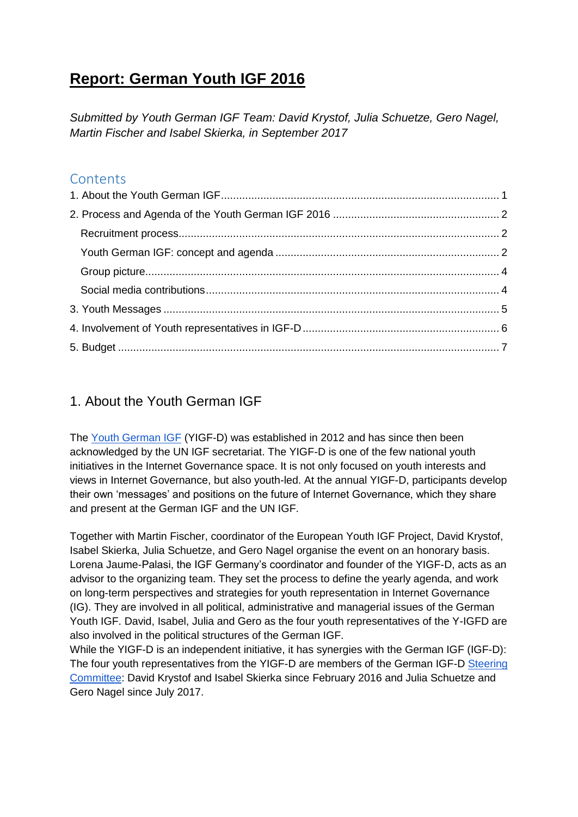# **Report: German Youth IGF 2016**

*Submitted by Youth German IGF Team: David Krystof, Julia Schuetze, Gero Nagel, Martin Fischer and Isabel Skierka, in September 2017*

### **Contents**

## <span id="page-0-0"></span>1. About the Youth German IGF

The [Youth German IGF](http://jugend-igf-d.tumblr.com/) (YIGF-D) was established in 2012 and has since then been acknowledged by the UN IGF secretariat. The YIGF-D is one of the few national youth initiatives in the Internet Governance space. It is not only focused on youth interests and views in Internet Governance, but also youth-led. At the annual YIGF-D, participants develop their own 'messages' and positions on the future of Internet Governance, which they share and present at the German IGF and the UN IGF.

Together with Martin Fischer, coordinator of the European Youth IGF Project, David Krystof, Isabel Skierka, Julia Schuetze, and Gero Nagel organise the event on an honorary basis. Lorena Jaume-Palasi, the IGF Germany's coordinator and founder of the YIGF-D, acts as an advisor to the organizing team. They set the process to define the yearly agenda, and work on long-term perspectives and strategies for youth representation in Internet Governance (IG). They are involved in all political, administrative and managerial issues of the German Youth IGF. David, Isabel, Julia and Gero as the four youth representatives of the Y-IGFD are also involved in the political structures of the German IGF.

While the YIGF-D is an independent initiative, it has synergies with the German IGF (IGF-D): The four youth representatives from the YIGF-D are members of the German IGF-D [Steering](http://www.intgovforum-deutschland.org/igf-d-struktur.html)  [Committee:](http://www.intgovforum-deutschland.org/igf-d-struktur.html) David Krystof and Isabel Skierka since February 2016 and Julia Schuetze and Gero Nagel since July 2017.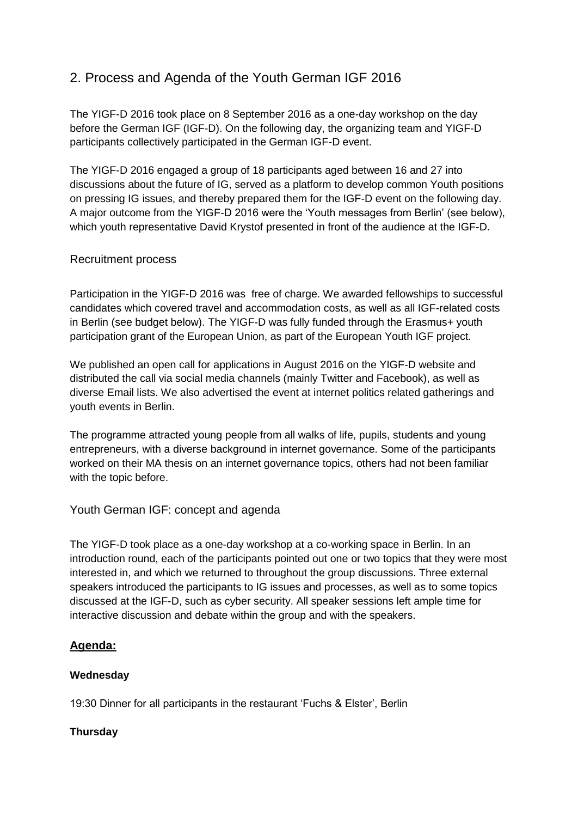# <span id="page-1-0"></span>2. Process and Agenda of the Youth German IGF 2016

The YIGF-D 2016 took place on 8 September 2016 as a one-day workshop on the day before the German IGF (IGF-D). On the following day, the organizing team and YIGF-D participants collectively participated in the German IGF-D event.

The YIGF-D 2016 engaged a group of 18 participants aged between 16 and 27 into discussions about the future of IG, served as a platform to develop common Youth positions on pressing IG issues, and thereby prepared them for the IGF-D event on the following day. A major outcome from the YIGF-D 2016 were the 'Youth messages from Berlin' (see below), which youth representative David Krystof presented in front of the audience at the IGF-D.

### <span id="page-1-1"></span>Recruitment process

Participation in the YIGF-D 2016 was free of charge. We awarded fellowships to successful candidates which covered travel and accommodation costs, as well as all IGF-related costs in Berlin (see budget below). The YIGF-D was fully funded through the Erasmus+ youth participation grant of the European Union, as part of the European Youth IGF project.

We published an open call for applications in August 2016 on the YIGF-D website and distributed the call via social media channels (mainly Twitter and Facebook), as well as diverse Email lists. We also advertised the event at internet politics related gatherings and youth events in Berlin.

The programme attracted young people from all walks of life, pupils, students and young entrepreneurs, with a diverse background in internet governance. Some of the participants worked on their MA thesis on an internet governance topics, others had not been familiar with the topic before.

#### <span id="page-1-2"></span>Youth German IGF: concept and agenda

The YIGF-D took place as a one-day workshop at a co-working space in Berlin. In an introduction round, each of the participants pointed out one or two topics that they were most interested in, and which we returned to throughout the group discussions. Three external speakers introduced the participants to IG issues and processes, as well as to some topics discussed at the IGF-D, such as cyber security. All speaker sessions left ample time for interactive discussion and debate within the group and with the speakers.

### **Agenda:**

#### **Wednesday**

19:30 Dinner for all participants in the restaurant 'Fuchs & Elster', Berlin

#### **Thursday**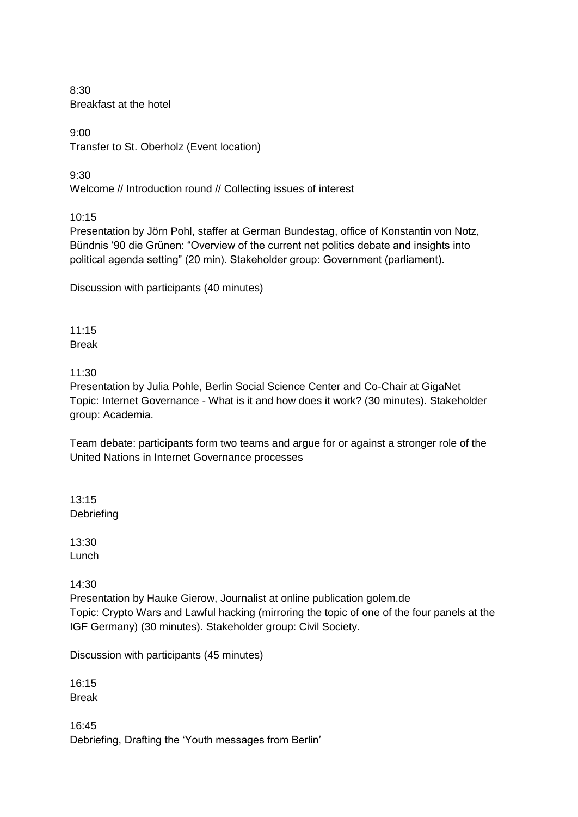8:30 Breakfast at the hotel

9:00 Transfer to St. Oberholz (Event location)

9:30

Welcome // Introduction round // Collecting issues of interest

10:15

Presentation by Jörn Pohl, staffer at German Bundestag, office of Konstantin von Notz, Bündnis '90 die Grünen: "Overview of the current net politics debate and insights into political agenda setting" (20 min). Stakeholder group: Government (parliament).

Discussion with participants (40 minutes)

 $11:15$ Break

11:30

Presentation by Julia Pohle, Berlin Social Science Center and Co-Chair at GigaNet Topic: Internet Governance - What is it and how does it work? (30 minutes). Stakeholder group: Academia.

Team debate: participants form two teams and argue for or against a stronger role of the United Nations in Internet Governance processes

13:15 Debriefing

13:30 Lunch

14:30

Presentation by Hauke Gierow, Journalist at online publication golem.de Topic: Crypto Wars and Lawful hacking (mirroring the topic of one of the four panels at the IGF Germany) (30 minutes). Stakeholder group: Civil Society.

Discussion with participants (45 minutes)

16:15 Break

16:45 Debriefing, Drafting the 'Youth messages from Berlin'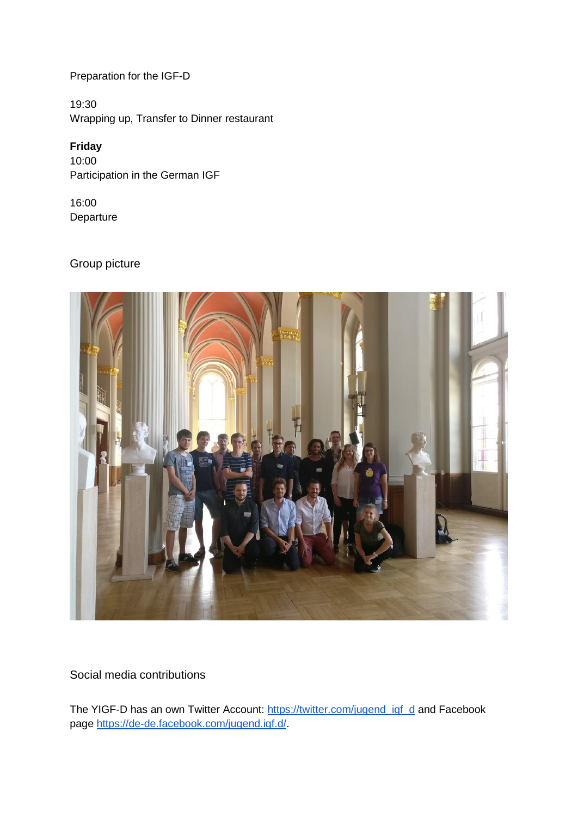Preparation for the IGF-D

19:30 Wrapping up, Transfer to Dinner restaurant

### **Friday**

10:00 Participation in the German IGF

16:00 Departure

## <span id="page-3-0"></span>Group picture



<span id="page-3-1"></span>Social media contributions

The YIGF-D has an own Twitter Account: [https://twitter.com/jugend\\_igf\\_d](https://twitter.com/jugend_igf_d) and Facebook page [https://de-de.facebook.com/jugend.igf.d/.](https://de-de.facebook.com/jugend.igf.d/)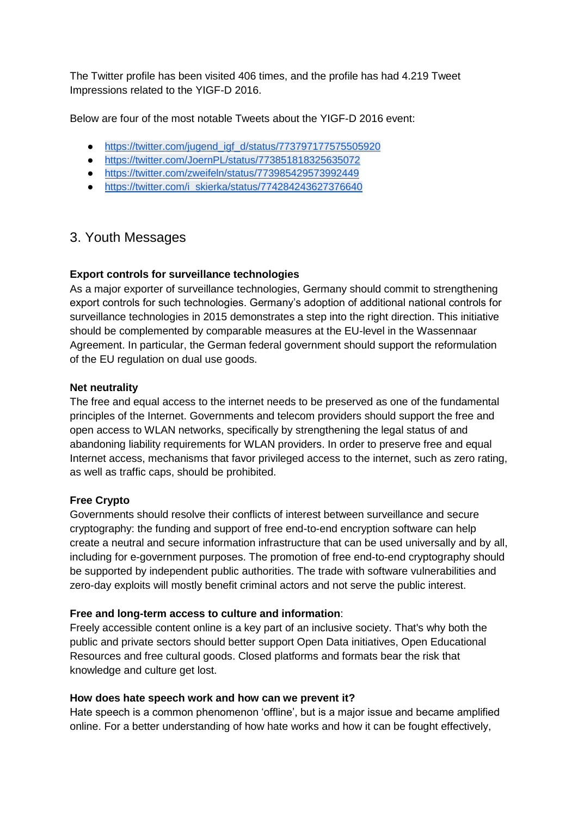The Twitter profile has been visited 406 times, and the profile has had 4.219 Tweet Impressions related to the YIGF-D 2016.

Below are four of the most notable Tweets about the YIGF-D 2016 event:

- [https://twitter.com/jugend\\_igf\\_d/status/773797177575505920](https://twitter.com/jugend_igf_d/status/773797177575505920)
- <https://twitter.com/JoernPL/status/773851818325635072>
- <https://twitter.com/zweifeln/status/773985429573992449>
- [https://twitter.com/i\\_skierka/status/774284243627376640](https://twitter.com/i_skierka/status/774284243627376640)

### <span id="page-4-0"></span>3. Youth Messages

### **Export controls for surveillance technologies**

As a major exporter of surveillance technologies, Germany should commit to strengthening export controls for such technologies. Germany's adoption of additional national controls for surveillance technologies in 2015 demonstrates a step into the right direction. This initiative should be complemented by comparable measures at the EU-level in the Wassennaar Agreement. In particular, the German federal government should support the reformulation of the EU regulation on dual use goods.

### **Net neutrality**

The free and equal access to the internet needs to be preserved as one of the fundamental principles of the Internet. Governments and telecom providers should support the free and open access to WLAN networks, specifically by strengthening the legal status of and abandoning liability requirements for WLAN providers. In order to preserve free and equal Internet access, mechanisms that favor privileged access to the internet, such as zero rating, as well as traffic caps, should be prohibited.

### **Free Crypto**

Governments should resolve their conflicts of interest between surveillance and secure cryptography: the funding and support of free end-to-end encryption software can help create a neutral and secure information infrastructure that can be used universally and by all, including for e-government purposes. The promotion of free end-to-end cryptography should be supported by independent public authorities. The trade with software vulnerabilities and zero-day exploits will mostly benefit criminal actors and not serve the public interest.

### **Free and long-term access to culture and information**:

Freely accessible content online is a key part of an inclusive society. That's why both the public and private sectors should better support Open Data initiatives, Open Educational Resources and free cultural goods. Closed platforms and formats bear the risk that knowledge and culture get lost.

### **How does hate speech work and how can we prevent it?**

Hate speech is a common phenomenon 'offline', but is a major issue and became amplified online. For a better understanding of how hate works and how it can be fought effectively,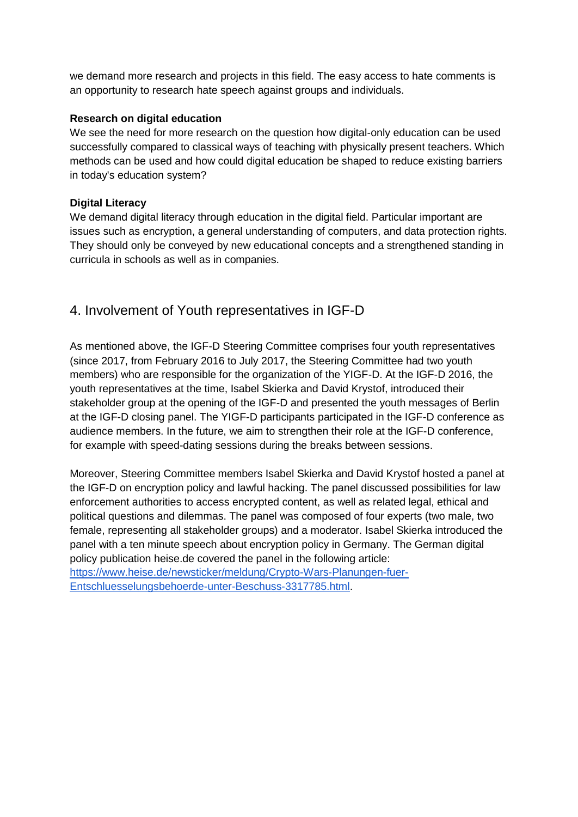we demand more research and projects in this field. The easy access to hate comments is an opportunity to research hate speech against groups and individuals.

### **Research on digital education**

We see the need for more research on the question how digital-only education can be used successfully compared to classical ways of teaching with physically present teachers. Which methods can be used and how could digital education be shaped to reduce existing barriers in today's education system?

### **Digital Literacy**

We demand digital literacy through education in the digital field. Particular important are issues such as encryption, a general understanding of computers, and data protection rights. They should only be conveyed by new educational concepts and a strengthened standing in curricula in schools as well as in companies.

### <span id="page-5-0"></span>4. Involvement of Youth representatives in IGF-D

As mentioned above, the IGF-D Steering Committee comprises four youth representatives (since 2017, from February 2016 to July 2017, the Steering Committee had two youth members) who are responsible for the organization of the YIGF-D. At the IGF-D 2016, the youth representatives at the time, Isabel Skierka and David Krystof, introduced their stakeholder group at the opening of the IGF-D and presented the youth messages of Berlin at the IGF-D closing panel. The YIGF-D participants participated in the IGF-D conference as audience members. In the future, we aim to strengthen their role at the IGF-D conference, for example with speed-dating sessions during the breaks between sessions.

Moreover, Steering Committee members Isabel Skierka and David Krystof hosted a panel at the IGF-D on encryption policy and lawful hacking. The panel discussed possibilities for law enforcement authorities to access encrypted content, as well as related legal, ethical and political questions and dilemmas. The panel was composed of four experts (two male, two female, representing all stakeholder groups) and a moderator. Isabel Skierka introduced the panel with a ten minute speech about encryption policy in Germany. The German digital policy publication heise.de covered the panel in the following article: [https://www.heise.de/newsticker/meldung/Crypto-Wars-Planungen-fuer-](https://www.heise.de/newsticker/meldung/Crypto-Wars-Planungen-fuer-Entschluesselungsbehoerde-unter-Beschuss-3317785.html)[Entschluesselungsbehoerde-unter-Beschuss-3317785.html.](https://www.heise.de/newsticker/meldung/Crypto-Wars-Planungen-fuer-Entschluesselungsbehoerde-unter-Beschuss-3317785.html)